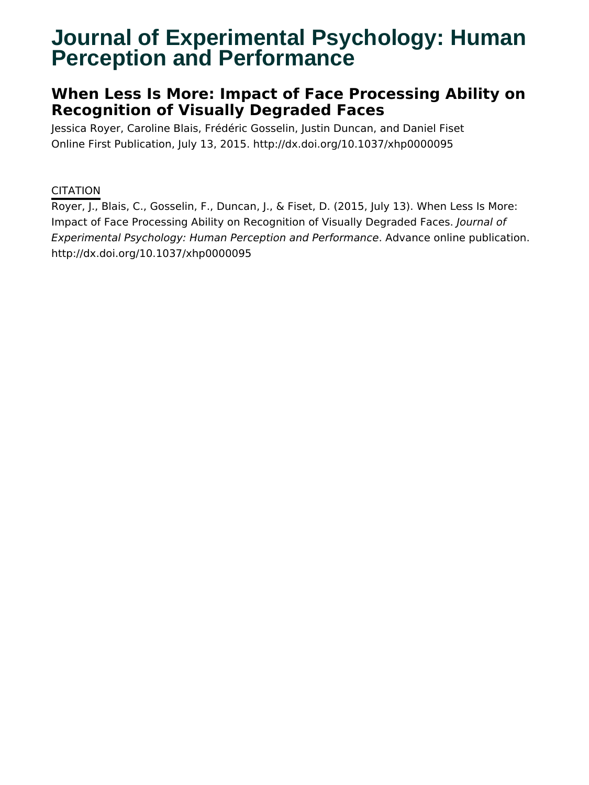# **Journal of Experimental Psychology: Human Perception and Performance**

# **When Less Is More: Impact of Face Processing Ability on Recognition of Visually Degraded Faces**

Jessica Royer, Caroline Blais, Frédéric Gosselin, Justin Duncan, and Daniel Fiset Online First Publication, July 13, 2015. http://dx.doi.org/10.1037/xhp0000095

### CITATION

Royer, J., Blais, C., Gosselin, F., Duncan, J., & Fiset, D. (2015, July 13). When Less Is More: Impact of Face Processing Ability on Recognition of Visually Degraded Faces. Journal of Experimental Psychology: Human Perception and Performance. Advance online publication. http://dx.doi.org/10.1037/xhp0000095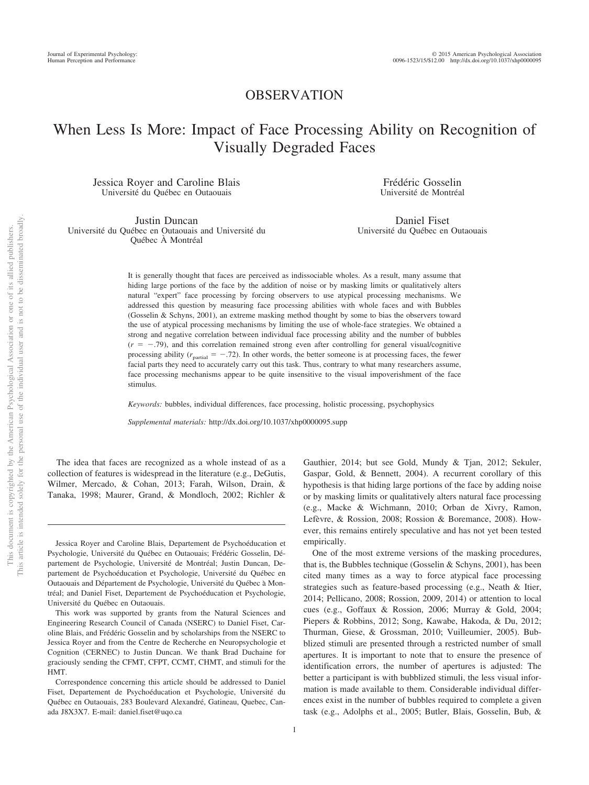### OBSERVATION

## When Less Is More: Impact of Face Processing Ability on Recognition of Visually Degraded Faces

Jessica Royer and Caroline Blais Université du Québec en Outaouais

Justin Duncan Université du Québec en Outaouais and Université du Québec À Montréal

Frédéric Gosselin Université de Montréal

Daniel Fiset Université du Québec en Outaouais

It is generally thought that faces are perceived as indissociable wholes. As a result, many assume that hiding large portions of the face by the addition of noise or by masking limits or qualitatively alters natural "expert" face processing by forcing observers to use atypical processing mechanisms. We addressed this question by measuring face processing abilities with whole faces and with Bubbles (Gosselin & Schyns, 2001), an extreme masking method thought by some to bias the observers toward the use of atypical processing mechanisms by limiting the use of whole-face strategies. We obtained a strong and negative correlation between individual face processing ability and the number of bubbles  $(r = -.79)$ , and this correlation remained strong even after controlling for general visual/cognitive processing ability  $(r_{\text{partial}} = -.72)$ . In other words, the better someone is at processing faces, the fewer facial parts they need to accurately carry out this task. Thus, contrary to what many researchers assume, face processing mechanisms appear to be quite insensitive to the visual impoverishment of the face stimulus.

*Keywords:* bubbles, individual differences, face processing, holistic processing, psychophysics

*Supplemental materials:* http://dx.doi.org/10.1037/xhp0000095.supp

The idea that faces are recognized as a whole instead of as a collection of features is widespread in the literature (e.g., DeGutis, Wilmer, Mercado, & Cohan, 2013; Farah, Wilson, Drain, & Tanaka, 1998; Maurer, Grand, & Mondloch, 2002; Richler &

Jessica Royer and Caroline Blais, Departement de Psychoéducation et Psychologie, Université du Québec en Outaouais; Frédéric Gosselin, Département de Psychologie, Université de Montréal; Justin Duncan, Departement de Psychoéducation et Psychologie, Université du Québec en Outaouais and Département de Psychologie, Université du Québec a` Montréal; and Daniel Fiset, Departement de Psychoéducation et Psychologie, Université du Québec en Outaouais.

This work was supported by grants from the Natural Sciences and Engineering Research Council of Canada (NSERC) to Daniel Fiset, Caroline Blais, and Frédéric Gosselin and by scholarships from the NSERC to Jessica Royer and from the Centre de Recherche en Neuropsychologie et Cognition (CERNEC) to Justin Duncan. We thank Brad Duchaine for graciously sending the CFMT, CFPT, CCMT, CHMT, and stimuli for the HMT.

Gauthier, 2014; but see Gold, Mundy & Tjan, 2012; Sekuler, Gaspar, Gold, & Bennett, 2004). A recurrent corollary of this hypothesis is that hiding large portions of the face by adding noise or by masking limits or qualitatively alters natural face processing (e.g., Macke & Wichmann, 2010; Orban de Xivry, Ramon, Lefèvre, & Rossion, 2008; Rossion & Boremance, 2008). However, this remains entirely speculative and has not yet been tested empirically.

One of the most extreme versions of the masking procedures, that is, the Bubbles technique (Gosselin & Schyns, 2001), has been cited many times as a way to force atypical face processing strategies such as feature-based processing (e.g., Neath & Itier, 2014; Pellicano, 2008; Rossion, 2009, 2014) or attention to local cues (e.g., Goffaux & Rossion, 2006; Murray & Gold, 2004; Piepers & Robbins, 2012; Song, Kawabe, Hakoda, & Du, 2012; Thurman, Giese, & Grossman, 2010; Vuilleumier, 2005). Bubblized stimuli are presented through a restricted number of small apertures. It is important to note that to ensure the presence of identification errors, the number of apertures is adjusted: The better a participant is with bubblized stimuli, the less visual information is made available to them. Considerable individual differences exist in the number of bubbles required to complete a given task (e.g., Adolphs et al., 2005; Butler, Blais, Gosselin, Bub, &

Correspondence concerning this article should be addressed to Daniel Fiset, Departement de Psychoéducation et Psychologie, Université du Québec en Outaouais, 283 Boulevard Alexandré, Gatineau, Quebec, Canada J8X3X7. E-mail: daniel.fiset@uqo.ca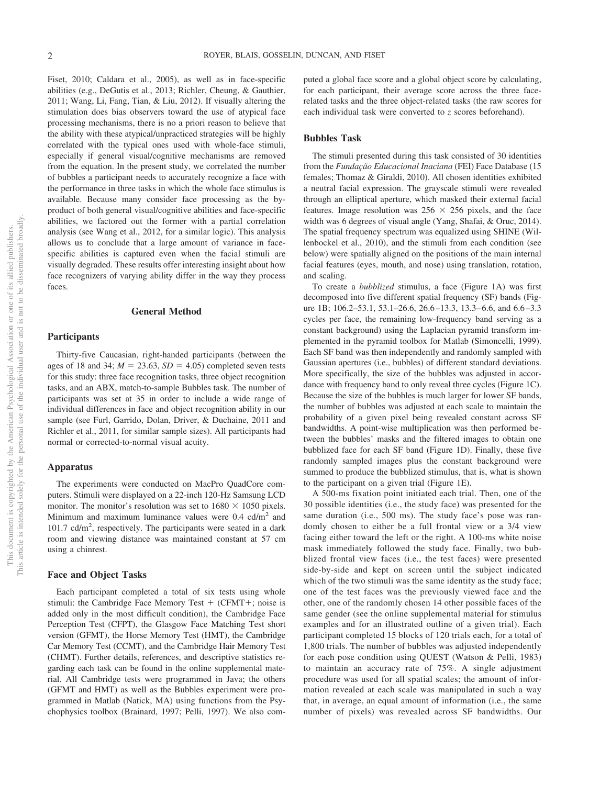Fiset, 2010; Caldara et al., 2005), as well as in face-specific abilities (e.g., DeGutis et al., 2013; Richler, Cheung, & Gauthier, 2011; Wang, Li, Fang, Tian, & Liu, 2012). If visually altering the stimulation does bias observers toward the use of atypical face processing mechanisms, there is no a priori reason to believe that the ability with these atypical/unpracticed strategies will be highly correlated with the typical ones used with whole-face stimuli, especially if general visual/cognitive mechanisms are removed from the equation. In the present study, we correlated the number of bubbles a participant needs to accurately recognize a face with the performance in three tasks in which the whole face stimulus is available. Because many consider face processing as the byproduct of both general visual/cognitive abilities and face-specific abilities, we factored out the former with a partial correlation analysis (see Wang et al., 2012, for a similar logic). This analysis allows us to conclude that a large amount of variance in facespecific abilities is captured even when the facial stimuli are visually degraded. These results offer interesting insight about how face recognizers of varying ability differ in the way they process faces.

#### **General Method**

#### **Participants**

Thirty-five Caucasian, right-handed participants (between the ages of 18 and 34;  $M = 23.63$ ,  $SD = 4.05$ ) completed seven tests for this study: three face recognition tasks, three object recognition tasks, and an ABX, match-to-sample Bubbles task. The number of participants was set at 35 in order to include a wide range of individual differences in face and object recognition ability in our sample (see Furl, Garrido, Dolan, Driver, & Duchaine, 2011 and Richler et al., 2011, for similar sample sizes). All participants had normal or corrected-to-normal visual acuity.

#### **Apparatus**

The experiments were conducted on MacPro QuadCore computers. Stimuli were displayed on a 22-inch 120-Hz Samsung LCD monitor. The monitor's resolution was set to  $1680 \times 1050$  pixels. Minimum and maximum luminance values were  $0.4$  cd/m<sup>2</sup> and 101.7 cd/m<sup>2</sup>, respectively. The participants were seated in a dark room and viewing distance was maintained constant at 57 cm using a chinrest.

#### **Face and Object Tasks**

Each participant completed a total of six tests using whole stimuli: the Cambridge Face Memory Test  $+$  (CFMT $+$ ; noise is added only in the most difficult condition), the Cambridge Face Perception Test (CFPT), the Glasgow Face Matching Test short version (GFMT), the Horse Memory Test (HMT), the Cambridge Car Memory Test (CCMT), and the Cambridge Hair Memory Test (CHMT). Further details, references, and descriptive statistics regarding each task can be found in the online supplemental material. All Cambridge tests were programmed in Java; the others (GFMT and HMT) as well as the Bubbles experiment were programmed in Matlab (Natick, MA) using functions from the Psychophysics toolbox (Brainard, 1997; Pelli, 1997). We also com-

puted a global face score and a global object score by calculating, for each participant, their average score across the three facerelated tasks and the three object-related tasks (the raw scores for each individual task were converted to *z* scores beforehand).

#### **Bubbles Task**

The stimuli presented during this task consisted of 30 identities from the *Fundação Educacional Inaciana* (FEI) Face Database (15 females; Thomaz & Giraldi, 2010). All chosen identities exhibited a neutral facial expression. The grayscale stimuli were revealed through an elliptical aperture, which masked their external facial features. Image resolution was  $256 \times 256$  pixels, and the face width was 6 degrees of visual angle (Yang, Shafai, & Oruc, 2014). The spatial frequency spectrum was equalized using SHINE (Willenbockel et al., 2010), and the stimuli from each condition (see below) were spatially aligned on the positions of the main internal facial features (eyes, mouth, and nose) using translation, rotation, and scaling.

To create a *bubblized* stimulus, a face (Figure 1A) was first decomposed into five different spatial frequency (SF) bands (Figure 1B; 106.2–53.1, 53.1–26.6, 26.6 –13.3, 13.3– 6.6, and 6.6 –3.3 cycles per face, the remaining low-frequency band serving as a constant background) using the Laplacian pyramid transform implemented in the pyramid toolbox for Matlab (Simoncelli, 1999). Each SF band was then independently and randomly sampled with Gaussian apertures (i.e., bubbles) of different standard deviations. More specifically, the size of the bubbles was adjusted in accordance with frequency band to only reveal three cycles (Figure 1C). Because the size of the bubbles is much larger for lower SF bands, the number of bubbles was adjusted at each scale to maintain the probability of a given pixel being revealed constant across SF bandwidths. A point-wise multiplication was then performed between the bubbles' masks and the filtered images to obtain one bubblized face for each SF band (Figure 1D). Finally, these five randomly sampled images plus the constant background were summed to produce the bubblized stimulus, that is, what is shown to the participant on a given trial (Figure 1E).

A 500-ms fixation point initiated each trial. Then, one of the 30 possible identities (i.e., the study face) was presented for the same duration (i.e., 500 ms). The study face's pose was randomly chosen to either be a full frontal view or a 3/4 view facing either toward the left or the right. A 100-ms white noise mask immediately followed the study face. Finally, two bubblized frontal view faces (i.e., the test faces) were presented side-by-side and kept on screen until the subject indicated which of the two stimuli was the same identity as the study face; one of the test faces was the previously viewed face and the other, one of the randomly chosen 14 other possible faces of the same gender (see the online supplemental material for stimulus examples and for an illustrated outline of a given trial). Each participant completed 15 blocks of 120 trials each, for a total of 1,800 trials. The number of bubbles was adjusted independently for each pose condition using QUEST (Watson & Pelli, 1983) to maintain an accuracy rate of 75%. A single adjustment procedure was used for all spatial scales; the amount of information revealed at each scale was manipulated in such a way that, in average, an equal amount of information (i.e., the same number of pixels) was revealed across SF bandwidths. Our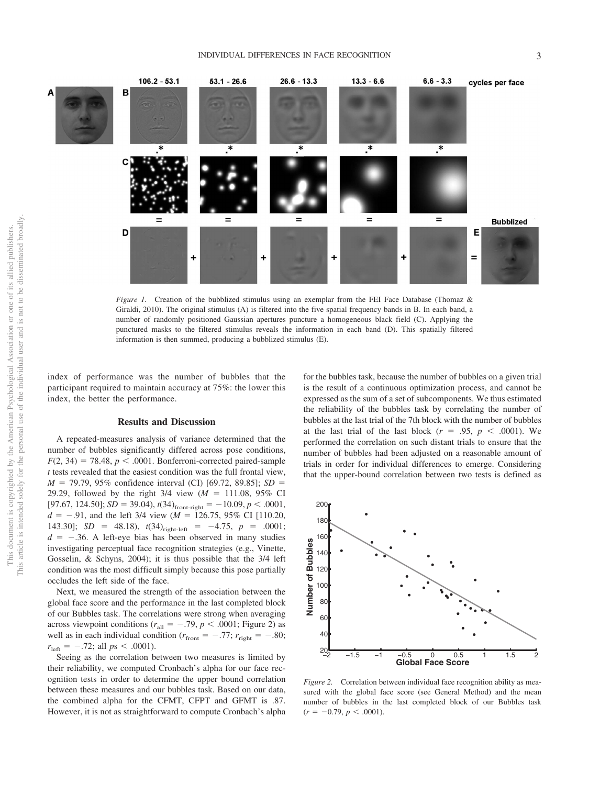

*Figure 1.* Creation of the bubblized stimulus using an exemplar from the FEI Face Database (Thomaz & Giraldi, 2010). The original stimulus (A) is filtered into the five spatial frequency bands in B. In each band, a number of randomly positioned Gaussian apertures puncture a homogeneous black field (C). Applying the punctured masks to the filtered stimulus reveals the information in each band (D). This spatially filtered information is then summed, producing a bubblized stimulus (E).

index of performance was the number of bubbles that the participant required to maintain accuracy at 75%: the lower this index, the better the performance.

#### **Results and Discussion**

A repeated-measures analysis of variance determined that the number of bubbles significantly differed across pose conditions,  $F(2, 34) = 78.48$ ,  $p < .0001$ . Bonferroni-corrected paired-sample *t* tests revealed that the easiest condition was the full frontal view, *M* = 79.79, 95% confidence interval (CI) [69.72, 89.85]; *SD* = 29.29, followed by the right  $3/4$  view  $(M = 111.08, 95\%$  CI [97.67, 124.50];  $SD = 39.04$ ),  $t(34)_{front-right} = -10.09$ ,  $p < .0001$ ,  $d = -0.91$ , and the left 3/4 view ( $M = 126.75$ , 95% CI [110.20, 143.30]; *SD* = 48.18),  $t(34)_{\text{right-left}}$  = -4.75,  $p$  = .0001;  $d = -.36$ . A left-eye bias has been observed in many studies investigating perceptual face recognition strategies (e.g., Vinette, Gosselin, & Schyns, 2004); it is thus possible that the 3/4 left condition was the most difficult simply because this pose partially occludes the left side of the face.

Next, we measured the strength of the association between the global face score and the performance in the last completed block of our Bubbles task. The correlations were strong when averaging across viewpoint conditions ( $r_{all} = -.79$ ,  $p < .0001$ ; Figure 2) as well as in each individual condition ( $r_{\text{front}} = -.77$ ;  $r_{\text{right}} = -.80$ ;  $r_{\text{left}} = -.72$ ; all  $ps < .0001$ ).

Seeing as the correlation between two measures is limited by their reliability, we computed Cronbach's alpha for our face recognition tests in order to determine the upper bound correlation between these measures and our bubbles task. Based on our data, the combined alpha for the CFMT, CFPT and GFMT is .87. However, it is not as straightforward to compute Cronbach's alpha

for the bubbles task, because the number of bubbles on a given trial is the result of a continuous optimization process, and cannot be expressed as the sum of a set of subcomponents. We thus estimated the reliability of the bubbles task by correlating the number of bubbles at the last trial of the 7th block with the number of bubbles at the last trial of the last block  $(r = .95, p < .0001)$ . We performed the correlation on such distant trials to ensure that the number of bubbles had been adjusted on a reasonable amount of trials in order for individual differences to emerge. Considering that the upper-bound correlation between two tests is defined as



*Figure 2.* Correlation between individual face recognition ability as measured with the global face score (see General Method) and the mean number of bubbles in the last completed block of our Bubbles task  $(r = -0.79, p < .0001).$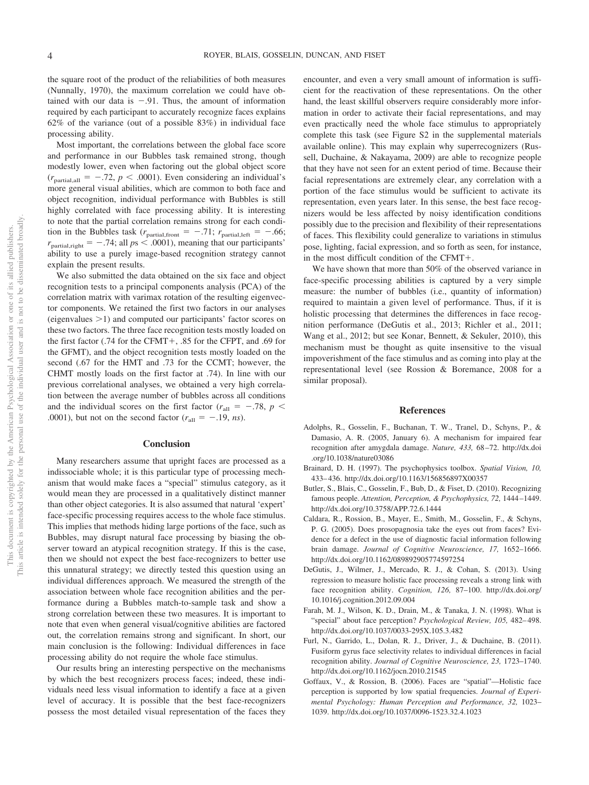the square root of the product of the reliabilities of both measures (Nunnally, 1970), the maximum correlation we could have obtained with our data is  $-.91$ . Thus, the amount of information required by each participant to accurately recognize faces explains 62% of the variance (out of a possible 83%) in individual face processing ability.

Most important, the correlations between the global face score and performance in our Bubbles task remained strong, though modestly lower, even when factoring out the global object score  $(r_{\text{partial,all}} = -.72, p < .0001)$ . Even considering an individual's more general visual abilities, which are common to both face and object recognition, individual performance with Bubbles is still highly correlated with face processing ability. It is interesting to note that the partial correlation remains strong for each condition in the Bubbles task ( $r_{\text{partial,front}} = -.71$ ;  $r_{\text{partial,left}} = -.66$ ;  $r_{\text{partial, right}} = -.74$ ; all  $ps < .0001$ ), meaning that our participants' ability to use a purely image-based recognition strategy cannot explain the present results.

We also submitted the data obtained on the six face and object recognition tests to a principal components analysis (PCA) of the correlation matrix with varimax rotation of the resulting eigenvector components. We retained the first two factors in our analyses (eigenvalues  $>1$ ) and computed our participants' factor scores on these two factors. The three face recognition tests mostly loaded on the first factor (.74 for the CFMT+, .85 for the CFPT, and .69 for the GFMT), and the object recognition tests mostly loaded on the second (.67 for the HMT and .73 for the CCMT; however, the CHMT mostly loads on the first factor at .74). In line with our previous correlational analyses, we obtained a very high correlation between the average number of bubbles across all conditions and the individual scores on the first factor  $(r<sub>all</sub> = -.78, p <$ .0001), but not on the second factor  $(r_{all} = -.19, ns)$ .

#### **Conclusion**

Many researchers assume that upright faces are processed as a indissociable whole; it is this particular type of processing mechanism that would make faces a "special" stimulus category, as it would mean they are processed in a qualitatively distinct manner than other object categories. It is also assumed that natural 'expert' face-specific processing requires access to the whole face stimulus. This implies that methods hiding large portions of the face, such as Bubbles, may disrupt natural face processing by biasing the observer toward an atypical recognition strategy. If this is the case, then we should not expect the best face-recognizers to better use this unnatural strategy; we directly tested this question using an individual differences approach. We measured the strength of the association between whole face recognition abilities and the performance during a Bubbles match-to-sample task and show a strong correlation between these two measures. It is important to note that even when general visual/cognitive abilities are factored out, the correlation remains strong and significant. In short, our main conclusion is the following: Individual differences in face processing ability do not require the whole face stimulus.

Our results bring an interesting perspective on the mechanisms by which the best recognizers process faces; indeed, these individuals need less visual information to identify a face at a given level of accuracy. It is possible that the best face-recognizers possess the most detailed visual representation of the faces they encounter, and even a very small amount of information is sufficient for the reactivation of these representations. On the other hand, the least skillful observers require considerably more information in order to activate their facial representations, and may even practically need the whole face stimulus to appropriately complete this task (see Figure S2 in the supplemental materials available online). This may explain why superrecognizers (Russell, Duchaine, & Nakayama, 2009) are able to recognize people that they have not seen for an extent period of time. Because their facial representations are extremely clear, any correlation with a portion of the face stimulus would be sufficient to activate its representation, even years later. In this sense, the best face recognizers would be less affected by noisy identification conditions possibly due to the precision and flexibility of their representations of faces. This flexibility could generalize to variations in stimulus pose, lighting, facial expression, and so forth as seen, for instance, in the most difficult condition of the CFMT+.

We have shown that more than 50% of the observed variance in face-specific processing abilities is captured by a very simple measure: the number of bubbles (i.e., quantity of information) required to maintain a given level of performance. Thus, if it is holistic processing that determines the differences in face recognition performance (DeGutis et al., 2013; Richler et al., 2011; Wang et al., 2012; but see Konar, Bennett, & Sekuler, 2010), this mechanism must be thought as quite insensitive to the visual impoverishment of the face stimulus and as coming into play at the representational level (see Rossion & Boremance, 2008 for a similar proposal).

#### **References**

- Adolphs, R., Gosselin, F., Buchanan, T. W., Tranel, D., Schyns, P., & Damasio, A. R. (2005, January 6). A mechanism for impaired fear recognition after amygdala damage. *Nature, 433,* 68 –72. http://dx.doi .org/10.1038/nature03086
- Brainard, D. H. (1997). The psychophysics toolbox. *Spatial Vision, 10,* 433– 436. http://dx.doi.org/10.1163/156856897X00357
- Butler, S., Blais, C., Gosselin, F., Bub, D., & Fiset, D. (2010). Recognizing famous people. *Attention, Perception, & Psychophysics, 72,* 1444 –1449. http://dx.doi.org/10.3758/APP.72.6.1444
- Caldara, R., Rossion, B., Mayer, E., Smith, M., Gosselin, F., & Schyns, P. G. (2005). Does prosopagnosia take the eyes out from faces? Evidence for a defect in the use of diagnostic facial information following brain damage. *Journal of Cognitive Neuroscience, 17,* 1652–1666. http://dx.doi.org/10.1162/089892905774597254
- DeGutis, J., Wilmer, J., Mercado, R. J., & Cohan, S. (2013). Using regression to measure holistic face processing reveals a strong link with face recognition ability. *Cognition, 126,* 87–100. http://dx.doi.org/ 10.1016/j.cognition.2012.09.004
- Farah, M. J., Wilson, K. D., Drain, M., & Tanaka, J. N. (1998). What is "special" about face perception? *Psychological Review, 105,* 482– 498. http://dx.doi.org/10.1037/0033-295X.105.3.482
- Furl, N., Garrido, L., Dolan, R. J., Driver, J., & Duchaine, B. (2011). Fusiform gyrus face selectivity relates to individual differences in facial recognition ability. *Journal of Cognitive Neuroscience, 23,* 1723–1740. http://dx.doi.org/10.1162/jocn.2010.21545
- Goffaux, V., & Rossion, B. (2006). Faces are "spatial"—Holistic face perception is supported by low spatial frequencies. *Journal of Experimental Psychology: Human Perception and Performance, 32,* 1023– 1039. http://dx.doi.org/10.1037/0096-1523.32.4.1023